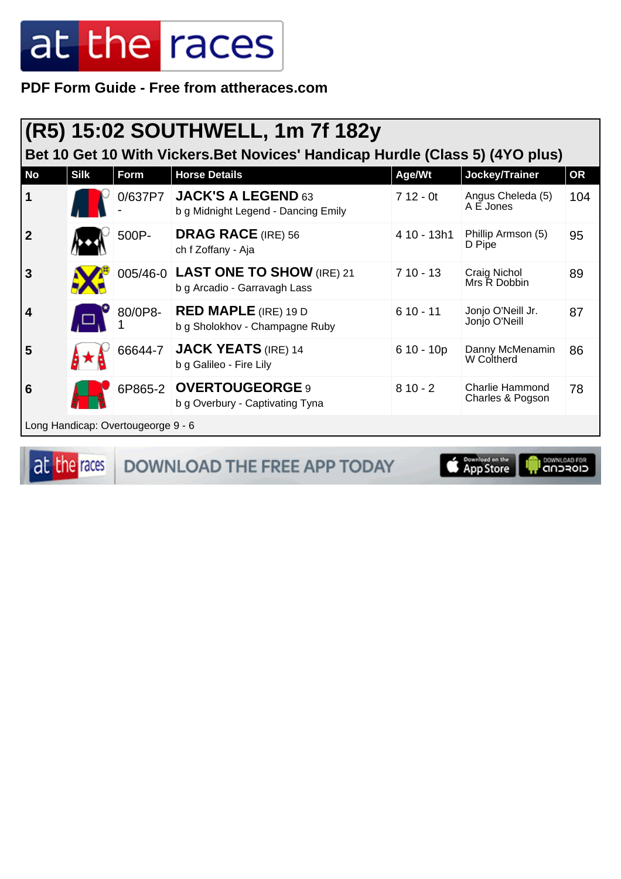PDF Form Guide - Free from attheraces.com

|              |                                                                               |                                    | (R5) 15:02 SOUTHWELL, 1m 7f 182y                                   |             |                                            |           |  |  |  |
|--------------|-------------------------------------------------------------------------------|------------------------------------|--------------------------------------------------------------------|-------------|--------------------------------------------|-----------|--|--|--|
|              | Bet 10 Get 10 With Vickers. Bet Novices' Handicap Hurdle (Class 5) (4YO plus) |                                    |                                                                    |             |                                            |           |  |  |  |
| <b>No</b>    | <b>Silk</b>                                                                   | Form                               | <b>Horse Details</b>                                               | Age/Wt      | Jockey/Trainer                             | <b>OR</b> |  |  |  |
| 1            |                                                                               |                                    | 0/637P7 JACK'S A LEGEND 63<br>b g Midnight Legend - Dancing Emily  | $712 - 0t$  | Angus Cheleda (5)<br>A E Jones             | 104       |  |  |  |
| $\mathbf{2}$ |                                                                               | 500P-                              | <b>DRAG RACE</b> (IRE) 56<br>ch f Zoffany - Aja                    | 4 10 - 13h1 | Phillip Armson (5)<br>D Pipe               | 95        |  |  |  |
| 3            |                                                                               |                                    | 005/46-0 LAST ONE TO SHOW (IRE) 21<br>b g Arcadio - Garravagh Lass | $710 - 13$  | Craig Nichol<br>Mrs R Dobbin               | 89        |  |  |  |
| 4            |                                                                               | 80/0P8-                            | <b>RED MAPLE</b> (IRE) 19 D<br>b g Sholokhov - Champagne Ruby      | $610 - 11$  | Jonjo O'Neill Jr.<br>Jonjo O'Neill         | 87        |  |  |  |
| 5            |                                                                               | 66644-7                            | <b>JACK YEATS (IRE) 14</b><br>b g Galileo - Fire Lily              | $610 - 10p$ | Danny McMenamin<br>W Coltherd              | 86        |  |  |  |
| 6            |                                                                               |                                    | 6P865-2 OVERTOUGEORGE 9<br>b g Overbury - Captivating Tyna         | $810 - 2$   | <b>Charlie Hammond</b><br>Charles & Pogson | 78        |  |  |  |
|              |                                                                               | Long Handicap: Overtougeorge 9 - 6 |                                                                    |             |                                            |           |  |  |  |

at the races

DOWNLOAD THE FREE APP TODAY

**Completed on the I DOWNLOAD FOR** г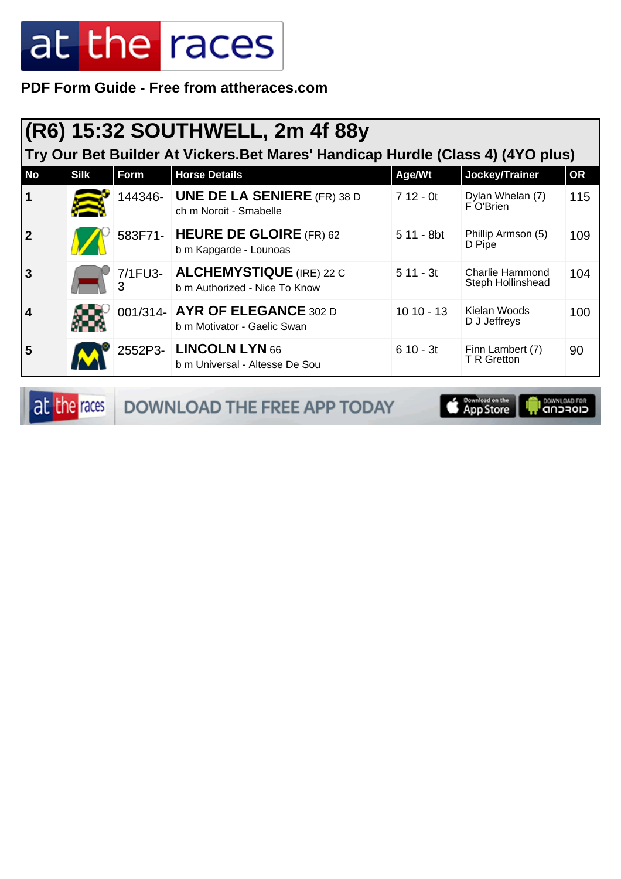**PDF Form Guide - Free from attheraces.com**

|             | (R6) 15:32 SOUTHWELL, 2m 4f 88y                                                 |             |                                                                   |             |                                             |           |  |  |  |  |
|-------------|---------------------------------------------------------------------------------|-------------|-------------------------------------------------------------------|-------------|---------------------------------------------|-----------|--|--|--|--|
|             | Try Our Bet Builder At Vickers. Bet Mares' Handicap Hurdle (Class 4) (4YO plus) |             |                                                                   |             |                                             |           |  |  |  |  |
| <b>No</b>   | <b>Silk</b>                                                                     | <b>Form</b> | <b>Horse Details</b>                                              | Age/Wt      | Jockey/Trainer                              | <b>OR</b> |  |  |  |  |
|             |                                                                                 | 144346-     | <b>UNE DE LA SENIERE</b> (FR) 38 D<br>ch m Noroit - Smabelle      | $712 - 0t$  | Dylan Whelan (7)<br>F O'Brien               | 115       |  |  |  |  |
| $\mathbf 2$ |                                                                                 |             | 583F71- HEURE DE GLOIRE (FR) 62<br>b m Kapgarde - Lounoas         | 5 11 - 8bt  | Phillip Armson (5)<br>D Pipe                | 109       |  |  |  |  |
| 3           |                                                                                 | 3           | 7/1FU3- ALCHEMYSTIQUE (IRE) 22 C<br>b m Authorized - Nice To Know | $511 - 3t$  | <b>Charlie Hammond</b><br>Steph Hollinshead | 104       |  |  |  |  |
| 4           |                                                                                 |             | 001/314- AYR OF ELEGANCE 302 D<br>b m Motivator - Gaelic Swan     | $1010 - 13$ | Kielan Woods<br>D J Jeffreys                | 100       |  |  |  |  |
| 5           |                                                                                 |             | 2552P3- LINCOLN LYN 66<br>b m Universal - Altesse De Sou          | $610 - 3t$  | Finn Lambert (7)<br>T R Gretton             | 90        |  |  |  |  |

at the races DOWNLOAD THE FREE APP TODAY

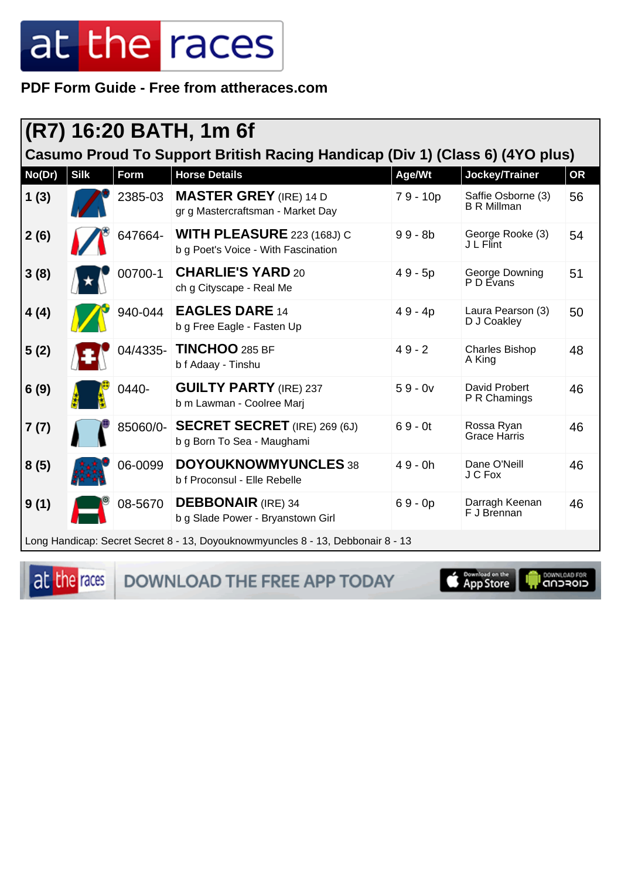PDF Form Guide - Free from attheraces.com

|                                                                              | (R7) 16:20 BATH, 1m 6f |             |                                                                                 |            |                                          |           |  |  |  |
|------------------------------------------------------------------------------|------------------------|-------------|---------------------------------------------------------------------------------|------------|------------------------------------------|-----------|--|--|--|
| Casumo Proud To Support British Racing Handicap (Div 1) (Class 6) (4YO plus) |                        |             |                                                                                 |            |                                          |           |  |  |  |
| No(Dr)                                                                       | <b>Silk</b>            | <b>Form</b> | <b>Horse Details</b>                                                            | Age/Wt     | Jockey/Trainer                           | <b>OR</b> |  |  |  |
| 1(3)                                                                         |                        | 2385-03     | <b>MASTER GREY</b> (IRE) 14 D<br>gr g Mastercraftsman - Market Day              | $79 - 10p$ | Saffie Osborne (3)<br><b>B R Millman</b> | 56        |  |  |  |
| 2(6)                                                                         |                        | 647664-     | <b>WITH PLEASURE 223 (168J) C</b><br>b g Poet's Voice - With Fascination        | $99 - 8b$  | George Rooke (3)<br>J L Flint            | 54        |  |  |  |
| 3(8)                                                                         |                        | 00700-1     | <b>CHARLIE'S YARD 20</b><br>ch g Cityscape - Real Me                            | $49 - 5p$  | George Downing<br>P D Evans              | 51        |  |  |  |
| 4(4)                                                                         |                        | 940-044     | <b>EAGLES DARE 14</b><br>b g Free Eagle - Fasten Up                             | $49 - 4p$  | Laura Pearson (3)<br>D J Coakley         | 50        |  |  |  |
| 5(2)                                                                         |                        | 04/4335-    | TINCHOO 285 BF<br>b f Adaay - Tinshu                                            | $49 - 2$   | <b>Charles Bishop</b><br>A King          | 48        |  |  |  |
| 6(9)                                                                         |                        | 0440-       | <b>GUILTY PARTY (IRE) 237</b><br>b m Lawman - Coolree Marj                      | $59 - 0v$  | David Probert<br>P R Chamings            | 46        |  |  |  |
| 7(7)                                                                         |                        | 85060/0-    | <b>SECRET SECRET</b> (IRE) 269 (6J)<br>b g Born To Sea - Maughami               | $69 - 0t$  | Rossa Ryan<br>Grace Harris               | 46        |  |  |  |
| 8(5)                                                                         |                        | 06-0099     | <b>DOYOUKNOWMYUNCLES 38</b><br>b f Proconsul - Elle Rebelle                     | $49 - 0h$  | Dane O'Neill<br>J C Fox                  | 46        |  |  |  |
| 9(1)                                                                         |                        | 08-5670     | <b>DEBBONAIR</b> (IRE) 34<br>b g Slade Power - Bryanstown Girl                  | $69 - 0p$  | Darragh Keenan<br>F J Brennan            | 46        |  |  |  |
|                                                                              |                        |             | Long Handicap: Secret Secret 8 - 13, Doyouknowmyuncles 8 - 13, Debbonair 8 - 13 |            |                                          |           |  |  |  |

at the races

DOWNLOAD THE FREE APP TODAY

App Store

I DOWNLOAD FOR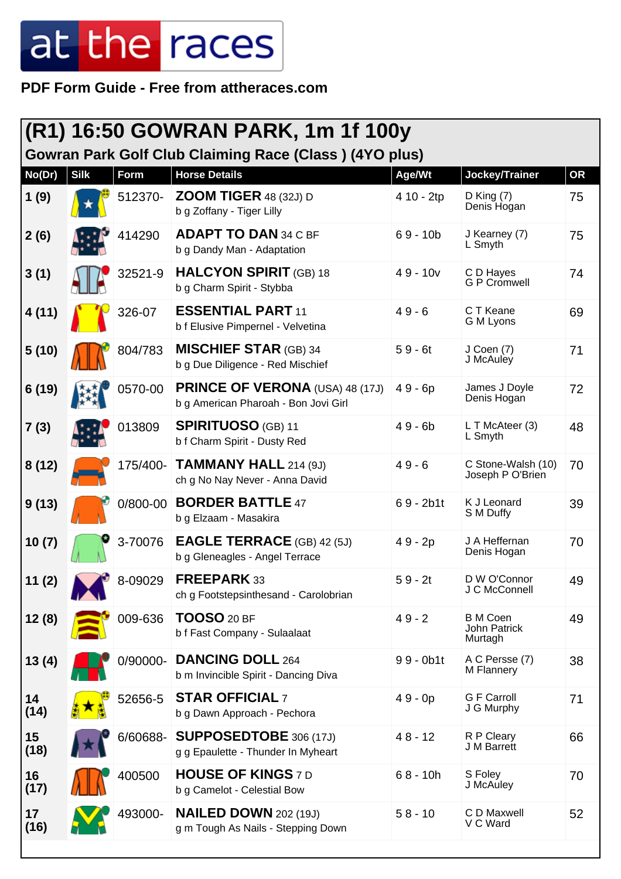**PDF Form Guide - Free from attheraces.com**

| (R1) 16:50 GOWRAN PARK, 1m 1f 100y<br><b>Gowran Park Golf Club Claiming Race (Class) (4YO plus)</b> |             |          |                                                                                |             |                                            |    |  |  |
|-----------------------------------------------------------------------------------------------------|-------------|----------|--------------------------------------------------------------------------------|-------------|--------------------------------------------|----|--|--|
| No(Dr)                                                                                              | <b>Silk</b> | Form     | <b>Horse Details</b>                                                           | Age/Wt      | Jockey/Trainer                             | OR |  |  |
| 1(9)                                                                                                |             | 512370-  | <b>ZOOM TIGER</b> 48 (32J) D<br>b g Zoffany - Tiger Lilly                      | 4 10 - 2tp  | $D$ King $(7)$<br>Denis Hogan              | 75 |  |  |
| 2(6)                                                                                                |             | 414290   | <b>ADAPT TO DAN 34 C BF</b><br>b g Dandy Man - Adaptation                      | $69 - 10b$  | J Kearney (7)<br>L Smyth                   | 75 |  |  |
| 3(1)                                                                                                |             | 32521-9  | <b>HALCYON SPIRIT (GB) 18</b><br>b g Charm Spirit - Stybba                     | $49 - 10v$  | C D Hayes<br><b>G P Cromwell</b>           | 74 |  |  |
| 4(11)                                                                                               |             | 326-07   | <b>ESSENTIAL PART 11</b><br>b f Elusive Pimpernel - Velvetina                  | $49 - 6$    | C T Keane<br>G M Lyons                     | 69 |  |  |
| 5(10)                                                                                               |             | 804/783  | <b>MISCHIEF STAR (GB) 34</b><br>b g Due Diligence - Red Mischief               | $59 - 6t$   | J Coen (7)<br>J McAuley                    | 71 |  |  |
| 6(19)                                                                                               |             | 0570-00  | <b>PRINCE OF VERONA (USA) 48 (17J)</b><br>b g American Pharoah - Bon Jovi Girl | $49 - 6p$   | James J Doyle<br>Denis Hogan               | 72 |  |  |
| 7(3)                                                                                                |             | 013809   | <b>SPIRITUOSO</b> (GB) 11<br>b f Charm Spirit - Dusty Red                      | $49 - 6b$   | L T McAteer (3)<br>L Smyth                 | 48 |  |  |
| 8(12)                                                                                               |             | 175/400- | <b>TAMMANY HALL 214 (9J)</b><br>ch g No Nay Never - Anna David                 | $49 - 6$    | C Stone-Walsh (10)<br>Joseph P O'Brien     | 70 |  |  |
| 9(13)                                                                                               |             | 0/800-00 | <b>BORDER BATTLE 47</b><br>b g Elzaam - Masakira                               | $69 - 2b1t$ | K J Leonard<br>S M Duffy                   | 39 |  |  |
| 10(7)                                                                                               |             | 3-70076  | <b>EAGLE TERRACE</b> (GB) 42 (5J)<br>b g Gleneagles - Angel Terrace            | 49 - 2p     | J A Heffernan<br>Denis Hogan               | 70 |  |  |
| 11(2)                                                                                               |             | 8-09029  | FREEPARK 33<br>ch g Footstepsinthesand - Carolobrian                           | $59 - 2t$   | D W O'Connor<br>J C McConnell              | 49 |  |  |
| 12(8)                                                                                               |             | 009-636  | <b>TOOSO</b> 20 BF<br>b f Fast Company - Sulaalaat                             | $49 - 2$    | <b>B</b> M Coen<br>John Patrick<br>Murtagh | 49 |  |  |
| 13(4)                                                                                               |             | 0/90000- | <b>DANCING DOLL 264</b><br>b m Invincible Spirit - Dancing Diva                | $99 - 0b1t$ | A C Persse (7)<br>M Flannery               | 38 |  |  |
| 14<br>(14)                                                                                          |             | 52656-5  | <b>STAR OFFICIAL 7</b><br>b g Dawn Approach - Pechora                          | $49 - 0p$   | <b>G F Carroll</b><br>J G Murphy           | 71 |  |  |
| 15<br>(18)                                                                                          |             | 6/60688- | <b>SUPPOSEDTOBE</b> 306 (17J)<br>g g Epaulette - Thunder In Myheart            | $48 - 12$   | R P Cleary<br>J M Barrett                  | 66 |  |  |
| 16<br>(17)                                                                                          |             | 400500   | <b>HOUSE OF KINGS 7 D</b><br>b g Camelot - Celestial Bow                       | $68 - 10h$  | S Foley<br>J McAuley                       | 70 |  |  |
| 17<br>(16)                                                                                          |             | 493000-  | <b>NAILED DOWN 202 (19J)</b><br>g m Tough As Nails - Stepping Down             | $58 - 10$   | C D Maxwell<br>V C Ward                    | 52 |  |  |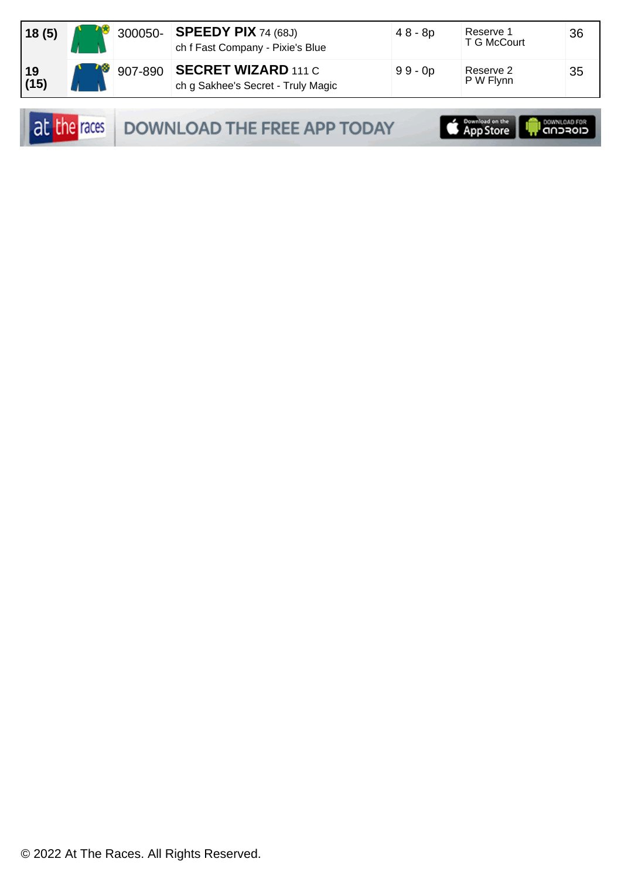| 18(5)      | 300050- | $\overline{\phantom{a}}$ SPEEDY PIX 74 (68J)<br>ch f Fast Company - Pixie's Blue | $48 - 8p$ | Reserve 1<br>T G McCourt | 36 |
|------------|---------|----------------------------------------------------------------------------------|-----------|--------------------------|----|
| 19<br>(15) |         | 907-890 SECRET WIZARD 111 C<br>ch g Sakhee's Secret - Truly Magic                | $99 - 0p$ | Reserve 2<br>P W Flynn   | 35 |

DOWNLOAD THE FREE APP TODAY

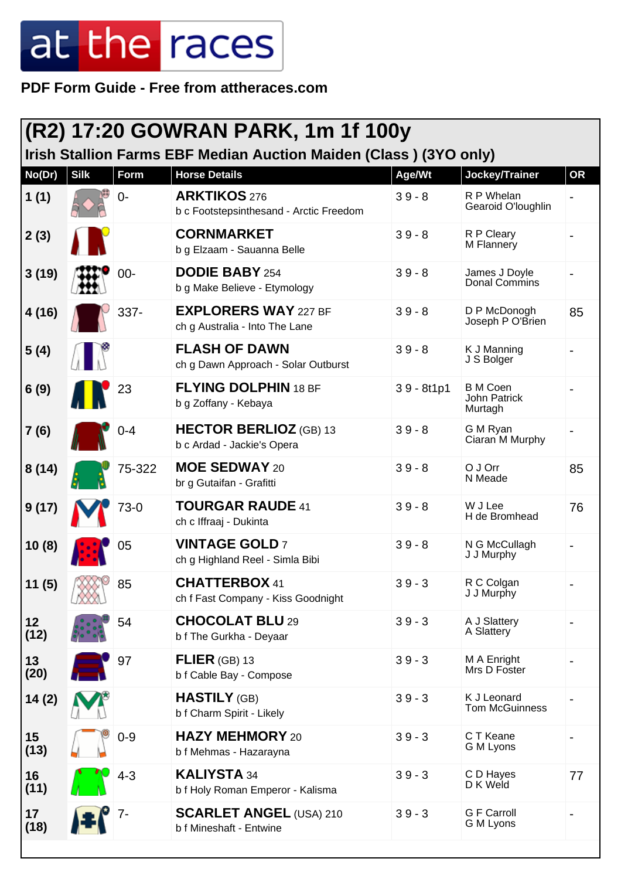**PDF Form Guide - Free from attheraces.com**

| (R2) 17:20 GOWRAN PARK, 1m 1f 100y<br>Irish Stallion Farms EBF Median Auction Maiden (Class) (3YO only) |             |             |                                                                |              |                                            |           |  |  |
|---------------------------------------------------------------------------------------------------------|-------------|-------------|----------------------------------------------------------------|--------------|--------------------------------------------|-----------|--|--|
| No(Dr)                                                                                                  | <b>Silk</b> | <b>Form</b> | <b>Horse Details</b>                                           | Age/Wt       | Jockey/Trainer                             | <b>OR</b> |  |  |
| 1(1)                                                                                                    |             | $0 -$       | <b>ARKTIKOS 276</b><br>b c Footstepsinthesand - Arctic Freedom | $39 - 8$     | R P Whelan<br>Gearoid O'loughlin           |           |  |  |
| 2(3)                                                                                                    |             |             | <b>CORNMARKET</b><br>b g Elzaam - Sauanna Belle                | $39 - 8$     | R P Cleary<br>M Flannery                   |           |  |  |
| 3(19)                                                                                                   |             | $00 -$      | <b>DODIE BABY 254</b><br>b g Make Believe - Etymology          | $39 - 8$     | James J Doyle<br>Donal Commins             |           |  |  |
| 4(16)                                                                                                   |             | 337-        | <b>EXPLORERS WAY 227 BF</b><br>ch g Australia - Into The Lane  | $39 - 8$     | D P McDonogh<br>Joseph P O'Brien           | 85        |  |  |
| 5(4)                                                                                                    |             |             | <b>FLASH OF DAWN</b><br>ch g Dawn Approach - Solar Outburst    | $39 - 8$     | K J Manning<br>J S Bolger                  |           |  |  |
| 6(9)                                                                                                    |             | 23          | <b>FLYING DOLPHIN 18 BF</b><br>b g Zoffany - Kebaya            | $39 - 8t1p1$ | <b>B</b> M Coen<br>John Patrick<br>Murtagh |           |  |  |
| 7(6)                                                                                                    |             | $0 - 4$     | <b>HECTOR BERLIOZ</b> (GB) 13<br>b c Ardad - Jackie's Opera    | $39 - 8$     | G M Ryan<br>Ciaran M Murphy                |           |  |  |
| 8(14)                                                                                                   |             | 75-322      | <b>MOE SEDWAY 20</b><br>br g Gutaifan - Grafitti               | $39 - 8$     | O J Orr<br>N Meade                         | 85        |  |  |
| 9(17)                                                                                                   |             | 73-0        | <b>TOURGAR RAUDE 41</b><br>ch c Iffraaj - Dukinta              | $39 - 8$     | W J Lee<br>H de Bromhead                   | 76        |  |  |
| 10(8)                                                                                                   |             | 05          | <b>VINTAGE GOLD 7</b><br>ch g Highland Reel - Simla Bibi       | $39 - 8$     | N G McCullagh<br>J J Murphy                |           |  |  |
| 11(5)                                                                                                   |             | 85          | <b>CHATTERBOX 41</b><br>ch f Fast Company - Kiss Goodnight     | $39 - 3$     | R C Colgan<br>J J Murphy                   |           |  |  |
| 12<br>(12)                                                                                              |             | 54          | <b>CHOCOLAT BLU 29</b><br>b f The Gurkha - Deyaar              | $39 - 3$     | A J Slattery<br>A Slattery                 |           |  |  |
| 13<br>(20)                                                                                              |             | 97          | FLIER $(GB)$ 13<br>b f Cable Bay - Compose                     | $39 - 3$     | M A Enright<br>Mrs D Foster                |           |  |  |
| 14(2)                                                                                                   |             |             | <b>HASTILY</b> (GB)<br>b f Charm Spirit - Likely               | $39 - 3$     | K J Leonard<br><b>Tom McGuinness</b>       |           |  |  |
| 15<br>(13)                                                                                              |             | $0 - 9$     | <b>HAZY MEHMORY 20</b><br>b f Mehmas - Hazarayna               | $39 - 3$     | C T Keane<br>G M Lyons                     |           |  |  |
| 16<br>(11)                                                                                              |             | $4 - 3$     | <b>KALIYSTA 34</b><br>b f Holy Roman Emperor - Kalisma         | $39 - 3$     | C D Hayes<br>D K Weld                      | 77        |  |  |
| 17<br>(18)                                                                                              |             | 7-          | <b>SCARLET ANGEL (USA) 210</b><br>b f Mineshaft - Entwine      | $39 - 3$     | <b>G F Carroll</b><br>G M Lyons            |           |  |  |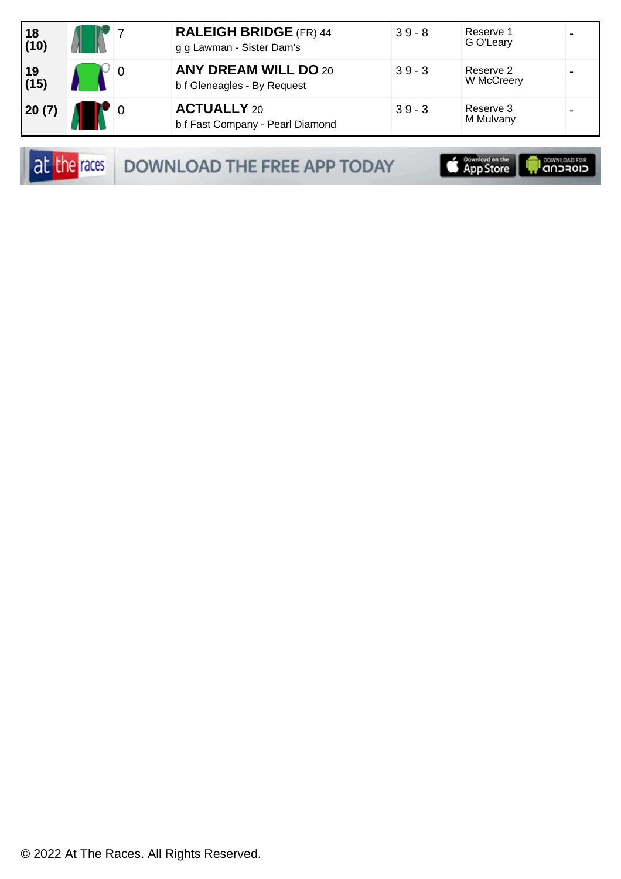| $ 18$<br>(10)  |  | <b>RALEIGH BRIDGE</b> (FR) 44<br>g g Lawman - Sister Dam's | $39 - 8$ | Reserve 1<br>G O'Leary  |  |
|----------------|--|------------------------------------------------------------|----------|-------------------------|--|
| $ 19 $<br>(15) |  | <b>ANY DREAM WILL DO 20</b><br>b f Gleneagles - By Request | $39 - 3$ | Reserve 2<br>W McCreery |  |
| 20(7)          |  | <b>ACTUALLY 20</b><br>b f Fast Company - Pearl Diamond     | $39 - 3$ | Reserve 3<br>M Mulvany  |  |

at the races DOWNLOAD THE FREE APP TODAY

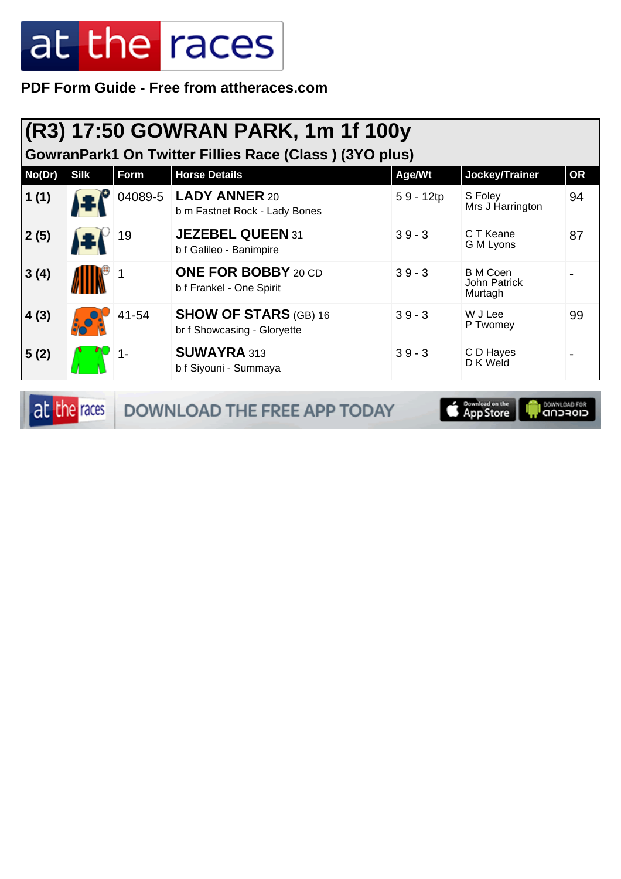**PDF Form Guide - Free from attheraces.com**

|  | (R3) 17:50 GOWRAN PARK, 1m 1f 100y |  |  |
|--|------------------------------------|--|--|
|  |                                    |  |  |

**GowranPark1 On Twitter Fillies Race (Class ) (3YO plus)**

| No(Dr) | <b>Silk</b> | Form    | <b>Horse Details</b>                                        | Age/Wt      | Jockey/Trainer                             | <b>OR</b> |
|--------|-------------|---------|-------------------------------------------------------------|-------------|--------------------------------------------|-----------|
| 1(1)   |             | 04089-5 | <b>LADY ANNER 20</b><br>b m Fastnet Rock - Lady Bones       | $59 - 12tp$ | S Foley<br>Mrs J Harrington                | 94        |
| 2(5)   |             | 19      | <b>JEZEBEL QUEEN 31</b><br>b f Galileo - Banimpire          | $39 - 3$    | C T Keane<br>G M Lyons                     | 87        |
| 3(4)   |             |         | <b>ONE FOR BOBBY 20 CD</b><br>b f Frankel - One Spirit      | $39 - 3$    | <b>B</b> M Coen<br>John Patrick<br>Murtagh |           |
| 4(3)   |             | 41-54   | <b>SHOW OF STARS (GB) 16</b><br>br f Showcasing - Gloryette | $39 - 3$    | W J Lee<br>P Twomey                        | 99        |
| 5(2)   |             |         | <b>SUWAYRA 313</b><br>b f Siyouni - Summaya                 | $39 - 3$    | C D Hayes<br>D K Weld                      |           |

at the races DOWNLOAD THE FREE APP TODAY

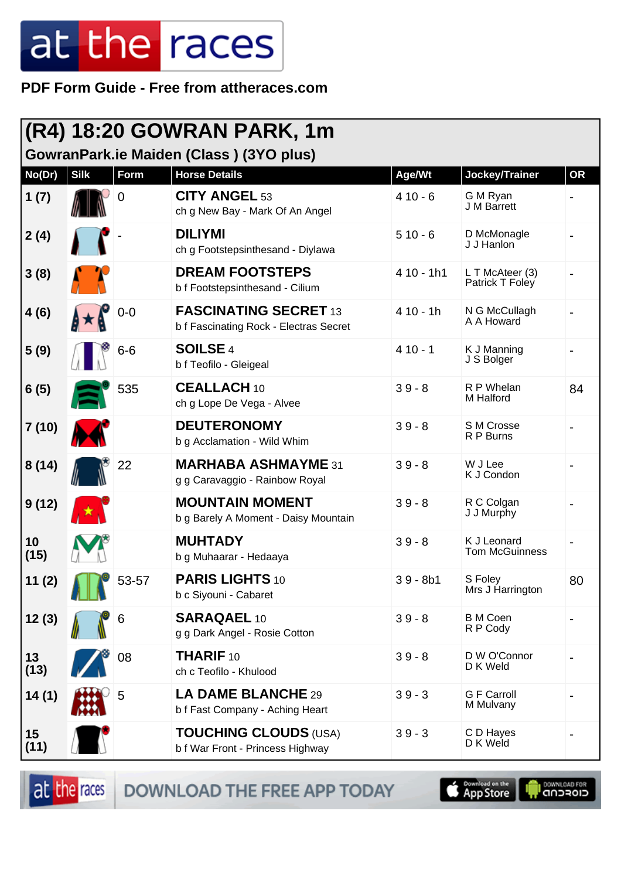PDF Form Guide - Free from attheraces.com

|            | (R4) 18:20 GOWRAN PARK, 1m |                |                                                                        |             |                                      |           |  |  |  |
|------------|----------------------------|----------------|------------------------------------------------------------------------|-------------|--------------------------------------|-----------|--|--|--|
|            |                            |                | GowranPark.ie Maiden (Class) (3YO plus)                                |             |                                      |           |  |  |  |
| No(Dr)     | <b>Silk</b>                | Form           | <b>Horse Details</b>                                                   | Age/Wt      | Jockey/Trainer                       | <b>OR</b> |  |  |  |
| 1(7)       |                            | $\overline{0}$ | <b>CITY ANGEL 53</b><br>ch g New Bay - Mark Of An Angel                | $410 - 6$   | G M Ryan<br>J M Barrett              |           |  |  |  |
| 2(4)       |                            |                | <b>DILIYMI</b><br>ch g Footstepsinthesand - Diylawa                    | $510 - 6$   | D McMonagle<br>J J Hanlon            |           |  |  |  |
| 3(8)       |                            |                | <b>DREAM FOOTSTEPS</b><br>b f Footstepsinthesand - Cilium              | $410 - 1h1$ | L T McAteer (3)<br>Patrick T Foley   |           |  |  |  |
| 4(6)       |                            | $0-0$          | <b>FASCINATING SECRET 13</b><br>b f Fascinating Rock - Electras Secret | $410 - 1h$  | N G McCullagh<br>A A Howard          |           |  |  |  |
| 5(9)       |                            | $6-6$          | <b>SOILSE 4</b><br>b f Teofilo - Gleigeal                              | $410 - 1$   | K J Manning<br>J S Bolger            |           |  |  |  |
| 6(5)       |                            | 535            | <b>CEALLACH 10</b><br>ch g Lope De Vega - Alvee                        | $39 - 8$    | R P Whelan<br>M Halford              | 84        |  |  |  |
| 7(10)      |                            |                | <b>DEUTERONOMY</b><br>b g Acclamation - Wild Whim                      | $39 - 8$    | S M Crosse<br>R P Burns              |           |  |  |  |
| 8(14)      |                            | 22             | <b>MARHABA ASHMAYME 31</b><br>g g Caravaggio - Rainbow Royal           | $39 - 8$    | W J Lee<br>K J Condon                |           |  |  |  |
| 9(12)      |                            |                | <b>MOUNTAIN MOMENT</b><br>b g Barely A Moment - Daisy Mountain         | $39 - 8$    | R C Colgan<br>J J Murphy             |           |  |  |  |
| 10<br>(15) |                            |                | <b>MUHTADY</b><br>b g Muhaarar - Hedaaya                               | $39 - 8$    | K J Leonard<br><b>Tom McGuinness</b> |           |  |  |  |
| 11 (2)     |                            | 53-57          | PARIS LIGHTS 10<br>b c Siyouni - Cabaret                               | $39 - 8b1$  | S Foley<br>Mrs J Harrington          | 80        |  |  |  |
| 12(3)      |                            | 6              | <b>SARAQAEL 10</b><br>g g Dark Angel - Rosie Cotton                    | $39 - 8$    | <b>B</b> M Coen<br>R P Cody          |           |  |  |  |
| 13<br>(13) |                            | 08             | <b>THARIF 10</b><br>ch c Teofilo - Khulood                             | $39 - 8$    | D W O'Connor<br>D K Weld             |           |  |  |  |
| 14(1)      |                            | 5              | LA DAME BLANCHE 29<br>b f Fast Company - Aching Heart                  | $39 - 3$    | <b>G F Carroll</b><br>M Mulvany      |           |  |  |  |
| 15<br>(11) |                            |                | <b>TOUCHING CLOUDS (USA)</b><br>b f War Front - Princess Highway       | $39 - 3$    | C D Hayes<br>D K Weld                |           |  |  |  |

at the races DOWNLOAD THE FREE APP TODAY

**S** Download on the

**I DOWNLOAD FOR**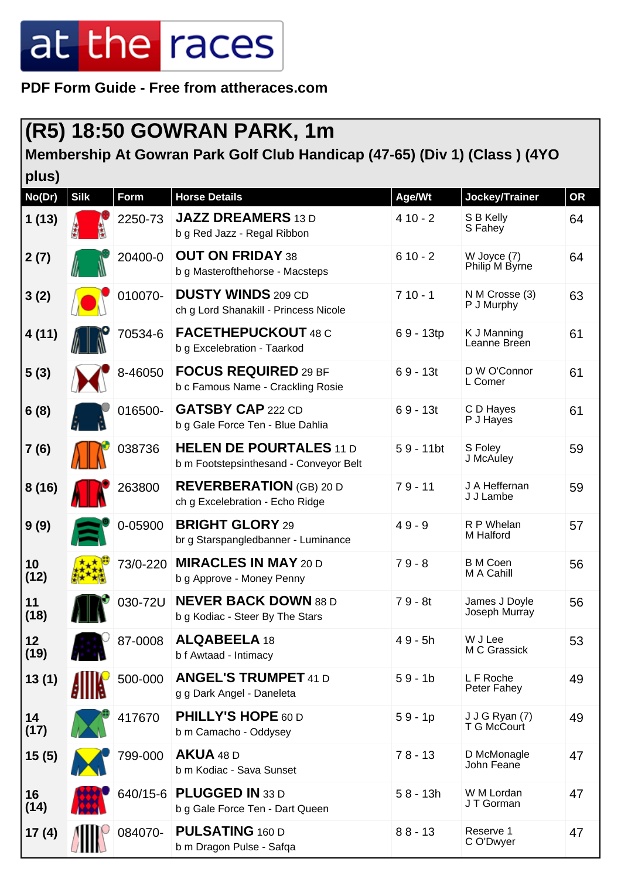**PDF Form Guide - Free from attheraces.com**

#### **(R5) 18:50 GOWRAN PARK, 1m**

#### **Membership At Gowran Park Golf Club Handicap (47-65) (Div 1) (Class ) (4YO**

| plus)      |             |          |                                                                          |              |                                |           |
|------------|-------------|----------|--------------------------------------------------------------------------|--------------|--------------------------------|-----------|
| No(Dr)     | <b>Silk</b> | Form     | <b>Horse Details</b>                                                     | Age/Wt       | Jockey/Trainer                 | <b>OR</b> |
| 1(13)      |             | 2250-73  | <b>JAZZ DREAMERS 13 D</b><br>b g Red Jazz - Regal Ribbon                 | $410 - 2$    | S B Kelly<br>S Fahey           | 64        |
| 2(7)       |             | 20400-0  | <b>OUT ON FRIDAY 38</b><br>b g Masterofthehorse - Macsteps               | $610 - 2$    | W Joyce (7)<br>Philip M Byrne  | 64        |
| 3(2)       |             | 010070-  | <b>DUSTY WINDS 209 CD</b><br>ch g Lord Shanakill - Princess Nicole       | $710 - 1$    | N M Crosse (3)<br>P J Murphy   | 63        |
| 4(11)      |             | 70534-6  | <b>FACETHEPUCKOUT 48 C</b><br>b g Excelebration - Taarkod                | 69 - 13tp    | K J Manning<br>Leanne Breen    | 61        |
| 5(3)       |             | 8-46050  | <b>FOCUS REQUIRED 29 BF</b><br>b c Famous Name - Crackling Rosie         | $69 - 13t$   | D W O'Connor<br>L Comer        | 61        |
| 6(8)       |             | 016500-  | <b>GATSBY CAP 222 CD</b><br>b g Gale Force Ten - Blue Dahlia             | $69 - 13t$   | C D Hayes<br>P J Hayes         | 61        |
| 7 (6)      |             | 038736   | <b>HELEN DE POURTALES 11 D</b><br>b m Footstepsinthesand - Conveyor Belt | $59 - 11$ bt | S Foley<br>J McAuley           | 59        |
| 8(16)      |             | 263800   | <b>REVERBERATION</b> (GB) 20 D<br>ch g Excelebration - Echo Ridge        | $79 - 11$    | J A Heffernan<br>J J Lambe     | 59        |
| 9(9)       |             | 0-05900  | <b>BRIGHT GLORY 29</b><br>br g Starspangledbanner - Luminance            | $49 - 9$     | R P Whelan<br>M Halford        | 57        |
| 10<br>(12) |             | 73/0-220 | <b>MIRACLES IN MAY 20 D</b><br>b g Approve - Money Penny                 | $79 - 8$     | <b>B</b> M Coen<br>M A Cahill  | 56        |
| 11<br>(18) |             | 030-72U  | <b>NEVER BACK DOWN 88 D</b><br>b g Kodiac - Steer By The Stars           | $79 - 8t$    | James J Doyle<br>Joseph Murray | 56        |
| 12<br>(19) |             | 87-0008  | <b>ALQABEELA 18</b><br>b f Awtaad - Intimacy                             | $49 - 5h$    | W J Lee<br>M C Grassick        | 53        |
| 13(1)      |             | 500-000  | <b>ANGEL'S TRUMPET 41 D</b><br>g g Dark Angel - Daneleta                 | $59 - 1b$    | L F Roche<br>Peter Fahey       | 49        |
| 14<br>(17) |             | 417670   | <b>PHILLY'S HOPE 60 D</b><br>b m Camacho - Oddysey                       | $59 - 1p$    | J J G Ryan (7)<br>T G McCourt  | 49        |
| 15(5)      |             | 799-000  | <b>AKUA 48 D</b><br>b m Kodiac - Sava Sunset                             | $78 - 13$    | D McMonagle<br>John Feane      | 47        |
| 16<br>(14) |             |          | 640/15-6 PLUGGED IN 33 D<br>b g Gale Force Ten - Dart Queen              | $58 - 13h$   | W M Lordan<br>JT Gorman        | 47        |
| 17(4)      |             | 084070-  | <b>PULSATING 160 D</b><br>b m Dragon Pulse - Safqa                       | $88 - 13$    | Reserve 1<br>C O'Dwyer         | 47        |